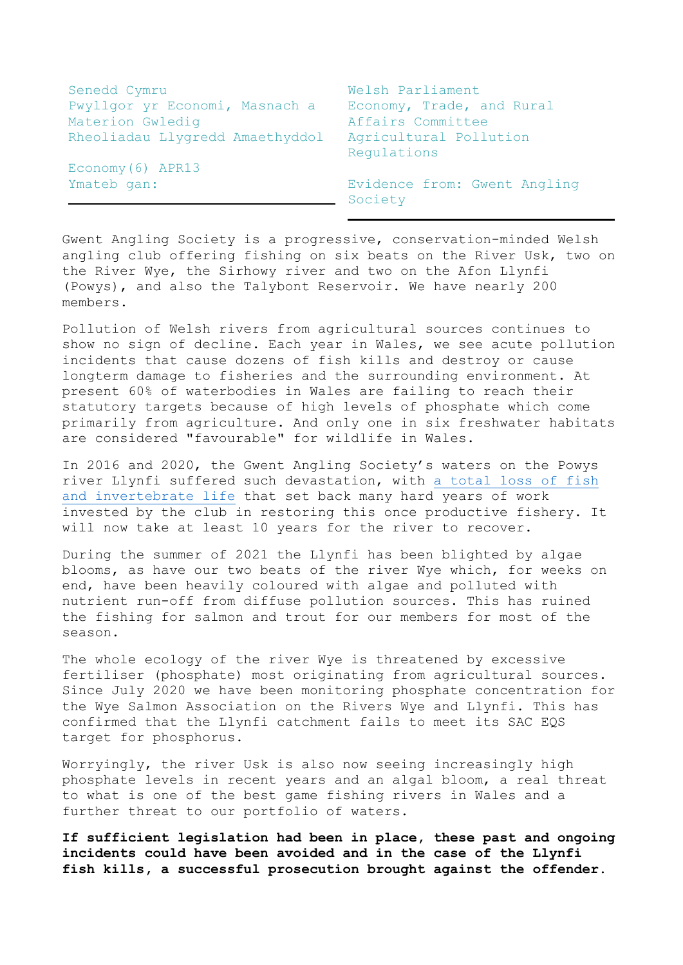| Senedd Cymru                    | Welsh Parliament                        |
|---------------------------------|-----------------------------------------|
| Pwyllgor yr Economi, Masnach a  | Economy, Trade, and Rural               |
| Materion Gwledig                | Affairs Committee                       |
| Rheoliadau Llygredd Amaethyddol | Agricultural Pollution<br>Requlations   |
| Economy (6) APR13               |                                         |
| Ymateb gan:                     | Evidence from: Gwent Angling<br>Society |

Gwent Angling Society is a progressive, conservation-minded Welsh angling club offering fishing on six beats on the River Usk, two on the River Wye, the Sirhowy river and two on the Afon Llynfi (Powys), and also the Talybont Reservoir. We have nearly 200 members.

Pollution of Welsh rivers from agricultural sources continues to show no sign of decline. Each year in Wales, we see acute pollution incidents that cause dozens of fish kills and destroy or cause longterm damage to fisheries and the surrounding environment. At present 60% of waterbodies in Wales are failing to reach their statutory targets because of high levels of phosphate which come primarily from agriculture. And only one in six freshwater habitats are considered "favourable" for wildlife in Wales.

In 2016 and 2020, the Gwent Angling Society's waters on the Powys river Llynfi suffered such devastation, with [a total loss](https://www.countryfile.com/wildlife/dark-waters-our-ongoing-investigation-into-the-death-of-the-river-llynfi/) of fish [and invertebrate life](https://www.countryfile.com/wildlife/dark-waters-our-ongoing-investigation-into-the-death-of-the-river-llynfi/) that set back many hard years of work invested by the club in restoring this once productive fishery. It will now take at least 10 years for the river to recover.

During the summer of 2021 the Llynfi has been blighted by algae blooms, as have our two beats of the river Wye which, for weeks on end, have been heavily coloured with algae and polluted with nutrient run-off from diffuse pollution sources. This has ruined the fishing for salmon and trout for our members for most of the season.

The whole ecology of the river Wye is threatened by excessive fertiliser (phosphate) most originating from agricultural sources. Since July 2020 we have been monitoring phosphate concentration for the Wye Salmon Association on the Rivers Wye and Llynfi. This has confirmed that the Llynfi catchment fails to meet its SAC EQS target for phosphorus.

Worryingly, the river Usk is also now seeing increasingly high phosphate levels in recent years and an algal bloom, a real threat to what is one of the best game fishing rivers in Wales and a further threat to our portfolio of waters.

**If sufficient legislation had been in place, these past and ongoing incidents could have been avoided and in the case of the Llynfi fish kills, a successful prosecution brought against the offender.**